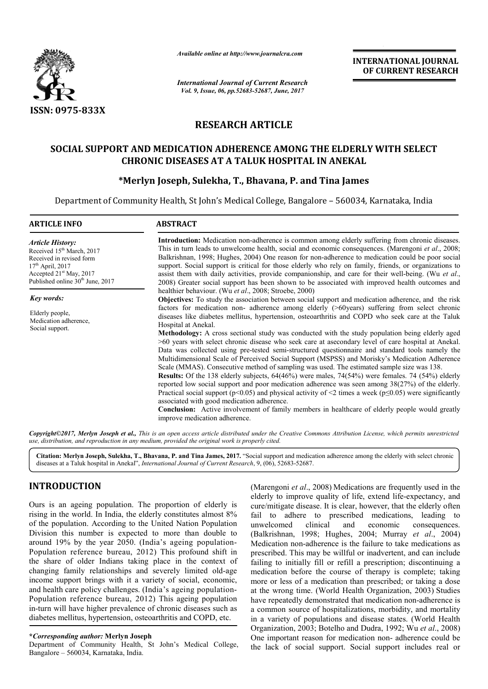

*Available online at http://www.journalcra.com*

*International Journal of Current Research Vol. 9, Issue, 06, pp.52683-52687, June, 2017*

**INTERNATIONAL JOURNAL OF CURRENT RESEARCH** 

# **RESEARCH ARTICLE**

# **SOCIAL SUPPORT AND MEDICATION ADHERENCE AMONG THE ELDERLY WITH SELECT CHRONIC DISEASES AT A TALUK HOSPITAL IN ANEKAL**

# **\*Merlyn Joseph, Sulekha, T., Bhavana, P. and Tina James**

Department of Community Health, St John's Medical College, Bangalore – 560034, Karnataka, India

| <b>ARTICLE INFO</b>                                                                                                                                                                   | <b>ABSTRACT</b>                                                                                                                                                                                                                                                                                                                                                                                                                                                                                                                                                                                                                                                                                                                                                                                                                                                                                                                                                                                                                                             |  |  |  |  |
|---------------------------------------------------------------------------------------------------------------------------------------------------------------------------------------|-------------------------------------------------------------------------------------------------------------------------------------------------------------------------------------------------------------------------------------------------------------------------------------------------------------------------------------------------------------------------------------------------------------------------------------------------------------------------------------------------------------------------------------------------------------------------------------------------------------------------------------------------------------------------------------------------------------------------------------------------------------------------------------------------------------------------------------------------------------------------------------------------------------------------------------------------------------------------------------------------------------------------------------------------------------|--|--|--|--|
| <b>Article History:</b><br>Received 15 <sup>th</sup> March, 2017<br>Received in revised form<br>$17th$ April, 2017<br>Accepted $21st$ May, 2017<br>Published online $30th$ June, 2017 | <b>Introduction:</b> Medication non-adherence is common among elderly suffering from chronic diseases.<br>This in turn leads to unwelcome health, social and economic consequences. (Marengoni et al., 2008;<br>Balkrishnan, 1998; Hughes, 2004) One reason for non-adherence to medication could be poor social<br>support. Social support is critical for those elderly who rely on family, friends, or organizations to<br>assist them with daily activities, provide companionship, and care for their well-being. (Wu et al.,<br>2008) Greater social support has been shown to be associated with improved health outcomes and<br>healthier behaviour. (Wu et al., 2008; Stroebe, 2000)<br><b>Objectives:</b> To study the association between social support and medication adherence, and the risk<br>factors for medication non-adherence among elderly (>60years) suffering from select chronic<br>diseases like diabetes mellitus, hypertension, osteoarthritis and COPD who seek care at the Taluk                                              |  |  |  |  |
| <b>Key words:</b>                                                                                                                                                                     |                                                                                                                                                                                                                                                                                                                                                                                                                                                                                                                                                                                                                                                                                                                                                                                                                                                                                                                                                                                                                                                             |  |  |  |  |
| Elderly people,<br>Medication adherence,<br>Social support.                                                                                                                           | Hospital at Anekal.<br>Methodology: A cross sectional study was conducted with the study population being elderly aged<br>>60 years with select chronic disease who seek care at asecondary level of care hospital at Anekal.<br>Data was collected using pre-tested semi-structured questionnaire and standard tools namely the<br>Multidimensional Scale of Perceived Social Support (MSPSS) and Morisky's Medication Adherence<br>Scale (MMAS). Consecutive method of sampling was used. The estimated sample size was 138.<br><b>Results:</b> Of the 138 elderly subjects, 64(46%) were males, 74(54%) were females. 74 (54%) elderly<br>reported low social support and poor medication adherence was seen among 38(27%) of the elderly.<br>Practical social support ( $p<0.05$ ) and physical activity of <2 times a week ( $p \le 0.05$ ) were significantly<br>associated with good medication adherence.<br><b>Conclusion:</b> Active involvement of family members in healthcare of elderly people would greatly<br>improve medication adherence. |  |  |  |  |

*Copyright©2017, Merlyn Joseph et al., This is an open access article distributed under the Creative Commons Attribution License, which permits unrestricted use, distribution, and reproduction in any medium, provided the original work is properly cited.*

**Citation: Merlyn Joseph, Sulekha, T., Bhavana, P. and Tina James, 2017.** "Social support and medication adherence among the elderly with select chronic diseases at a Taluk hospital in Anekal", *International Journal of Current Research*, 9, (06), 52683-52687.

# **INTRODUCTION**

Ours is an ageing population. The proportion of elderly is rising in the world. In India, the elderly constitutes almost 8% of the population. According to the United Nation Population Division this number is expected to more than double to around 19% by the year 2050. (India's ageing population-Population reference bureau, 2012) This profound shift in the share of older Indians taking place in the context of changing family relationships and severely limited old-age income support brings with it a variety of social, economic, and health care policy challenges. (India's ageing population-Population reference bureau, 2012) This ageing population in-turn will have higher prevalence of chronic diseases such as diabetes mellitus, hypertension, osteoarthritis and COPD, etc.

### **\****Corresponding author:* **Merlyn Joseph**

Department of Community Health, St John's Medical College, Bangalore – 560034, Karnataka, India.

(Marengoni *et al*., 2008) Medications are frequently used in the elderly to improve quality of life, extend life-expectancy, and cure/mitigate disease. It is clear, however, that the elderly often fail to adhere to prescribed medications, leading to unwelcomed clinical and economic consequences. unwelcomed clinical and economic consequences. (Balkrishnan, 1998; Hughes, 2004; Murray *et al*., 2004) Medication non-adherence is the failure to take medications as prescribed. This may be willful or inadvertent, and can include failing to initially fill or refill a prescription; discontinuing a medication before the course of therapy is complete; taking more or less of a medication than prescribed; or taking a dose at the wrong time. (World Health Organization, 2003) Studies have repeatedly demonstrated that medication non-adherence is a common source of hospitalizations, morbidity, and mortality in a variety of populations and disease states. (World Health Organization, 2003; Botelho and Dudra, 1992; Wu *et al*., 2008) One important reason for medication non- adherence could be the lack of social support. Social support includes real or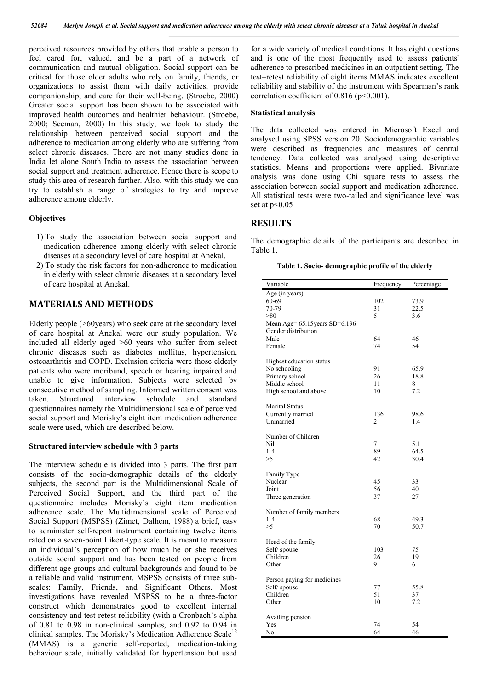perceived resources provided by others that enable a person to feel cared for, valued, and be a part of a network of communication and mutual obligation. Social support can be critical for those older adults who rely on family, friends, or organizations to assist them with daily activities, provide companionship, and care for their well-being. (Stroebe, 2000) Greater social support has been shown to be associated with improved health outcomes and healthier behaviour. (Stroebe, 2000; Seeman, 2000) In this study, we look to study the relationship between perceived social support and the adherence to medication among elderly who are suffering from select chronic diseases. There are not many studies done in India let alone South India to assess the association between social support and treatment adherence. Hence there is scope to study this area of research further. Also, with this study we can try to establish a range of strategies to try and improve adherence among elderly.

### **Objectives**

- 1) To study the association between social support and medication adherence among elderly with select chronic diseases at a secondary level of care hospital at Anekal.
- 2) To study the risk factors for non-adherence to medication in elderly with select chronic diseases at a secondary level of care hospital at Anekal.

## **MATERIALS AND METHODS**

Elderly people (>60years) who seek care at the secondary level of care hospital at Anekal were our study population. We included all elderly aged >60 years who suffer from select chronic diseases such as diabetes mellitus, hypertension, osteoarthritis and COPD. Exclusion criteria were those elderly patients who were moribund, speech or hearing impaired and unable to give information. Subjects were selected by consecutive method of sampling. Informed written consent was taken. Structured interview schedule and standard questionnaires namely the Multidimensional scale of perceived social support and Morisky's eight item medication adherence scale were used, which are described below.

### **Structured interview schedule with 3 parts**

The interview schedule is divided into 3 parts. The first part consists of the socio-demographic details of the elderly subjects, the second part is the Multidimensional Scale of Perceived Social Support, and the third part of the questionnaire includes Morisky's eight item medication adherence scale. The Multidimensional scale of Perceived Social Support (MSPSS) (Zimet, Dalhem, 1988) a brief, easy to administer self-report instrument containing twelve items rated on a seven-point Likert-type scale. It is meant to measure an individual's perception of how much he or she receives outside social support and has been tested on people from different age groups and cultural backgrounds and found to be a reliable and valid instrument. MSPSS consists of three subscales: Family, Friends, and Significant Others. Most investigations have revealed MSPSS to be a three-factor construct which demonstrates good to excellent internal consistency and test-retest reliability (with a Cronbach's alpha of 0.81 to 0.98 in non-clinical samples, and 0.92 to 0.94 in clinical samples. The Morisky's Medication Adherence Scale<sup>12</sup> (MMAS) is a generic self-reported, medication-taking behaviour scale, initially validated for hypertension but used for a wide variety of medical conditions. It has eight questions and is one of the most frequently used to assess patients' adherence to prescribed medicines in an outpatient setting. The test–retest reliability of eight items MMAS indicates excellent reliability and stability of the instrument with Spearman's rank correlation coefficient of  $0.816$  (p<0.001).

### **Statistical analysis**

The data collected was entered in Microsoft Excel and analysed using SPSS version 20. Sociodemographic variables were described as frequencies and measures of central tendency. Data collected was analysed using descriptive statistics. Means and proportions were applied. Bivariate analysis was done using Chi square tests to assess the association between social support and medication adherence. All statistical tests were two-tailed and significance level was set at  $p<0.05$ 

## **RESULTS**

The demographic details of the participants are described in Table 1.

**Table 1. Socio- demographic profile of the elderly**

| Variable                       | Frequency | Percentage |
|--------------------------------|-----------|------------|
| Age (in years)                 |           |            |
| 60-69                          | 102       | 73.9       |
| 70-79                          | 31        | 22.5       |
| > 80                           | 5         | 3.6        |
| Mean Age= 65.15 years SD=6.196 |           |            |
| Gender distribution            |           |            |
| Male                           | 64        | 46         |
| Female                         | 74        | 54         |
| Highest education status       |           |            |
| No schooling                   | 91        | 65.9       |
| Primary school                 | 26        | 18.8       |
| Middle school                  | 11        | 8          |
| High school and above          | 10        | 7.2        |
| <b>Marital Status</b>          |           |            |
| Currently married              | 136       | 98.6       |
| Unmarried                      | 2         | 1.4        |
|                                |           |            |
| Number of Children             |           |            |
| Nil                            | 7         | 5.1        |
| $1 - 4$                        | 89        | 64.5       |
| >5                             | 42        | 30.4       |
| Family Type                    |           |            |
| Nuclear                        | 45        | 33         |
| Joint                          | 56        | 40         |
| Three generation               | 37        | 27         |
|                                |           |            |
| Number of family members       |           |            |
| $1 - 4$                        | 68        | 49.3       |
| >5                             | 70        | 50.7       |
| Head of the family             |           |            |
| Self/ spouse                   | 103       | 75         |
| Children                       | 26        | 19         |
| Other                          | 9         | 6          |
| Person paying for medicines    |           |            |
| Self/ spouse                   | 77        | 55.8       |
| Children                       | 51        | 37         |
| Other                          | 10        | 7.2        |
|                                |           |            |
| Availing pension<br>Yes        | 74        | 54         |
| No                             | 64        | 46         |
|                                |           |            |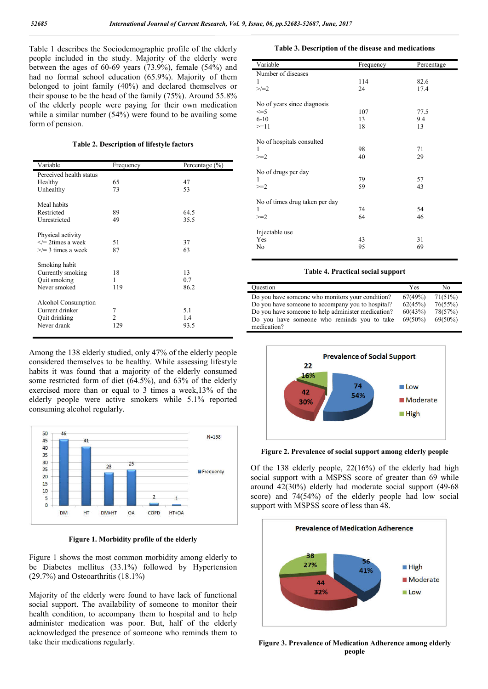Table 1 describes the Sociodemographic profile of the elderly people included in the study. Majority of the elderly were between the ages of  $60-69$  years  $(73.9\%)$ , female  $(54\%)$  and had no formal school education (65.9%). Majority of them belonged to joint family (40%) and declared themselves or their spouse to be the head of the family (75%). Around 55.8% of the elderly people were paying for their own medication while a similar number (54%) were found to be availing some form of pension.

**Table 2. Description of lifestyle factors**

| Variable                | Frequency      | Percentage $(\% )$ |
|-------------------------|----------------|--------------------|
| Perceived health status |                |                    |
| Healthy                 | 65             | 47                 |
| Unhealthy               | 73             | 53                 |
| Meal habits             |                |                    |
| Restricted              | 89             | 64.5               |
| Unrestricted            | 49             | 35.5               |
| Physical activity       |                |                    |
| $\leq$ 2times a week    | 51             | 37                 |
| $\ge$ /= 3 times a week | 87             | 63                 |
| Smoking habit           |                |                    |
| Currently smoking       | 18             | 13                 |
| <b>Ouit smoking</b>     | 1              | 0.7                |
| Never smoked            | 119            | 86.2               |
| Alcohol Consumption     |                |                    |
| Current drinker         | 7              | 5.1                |
| <b>Ouit drinking</b>    | $\mathfrak{D}$ | 1.4                |
| Never drank             | 129            | 93.5               |
|                         |                |                    |

Among the 138 elderly studied, only 47% of the elderly people considered themselves to be healthy. While assessing lifestyle habits it was found that a majority of the elderly consumed some restricted form of diet (64.5%), and 63% of the elderly exercised more than or equal to 3 times a week,13% of the elderly people were active smokers while 5.1% reported consuming alcohol regularly.



**Figure 1. Morbidity profile of the elderly**

Figure 1 shows the most common morbidity among elderly to be Diabetes mellitus (33.1%) followed by Hypertension (29.7%) and Osteoarthritis (18.1%)

Majority of the elderly were found to have lack of functional social support. The availability of someone to monitor their health condition, to accompany them to hospital and to help administer medication was poor. But, half of the elderly acknowledged the presence of someone who reminds them to take their medications regularly.

**Table 3. Description of the disease and medications**

| Variable                       | Frequency | Percentage |
|--------------------------------|-----------|------------|
| Number of diseases             |           |            |
| 1                              | 114       | 82.6       |
| $>/-2$                         | 24        | 17.4       |
| No of years since diagnosis    |           |            |
| $\leq$ =5                      | 107       | 77.5       |
| $6 - 10$                       | 13        | 9.4        |
| $>=11$                         | 18        | 13         |
|                                |           |            |
| No of hospitals consulted      |           |            |
|                                | 98        | 71         |
| $>=2$                          | 40        | 29         |
|                                |           |            |
| No of drugs per day            |           |            |
| 1                              | 79        | 57         |
| $>=2$                          | 59        | 43         |
| No of times drug taken per day |           |            |
| 1                              | 74        | 54         |
| $>=2$                          | 64        | 46         |
|                                |           |            |
| Injectable use                 |           |            |
| Yes                            | 43        | 31         |
| No                             | 95        | 69         |
|                                |           |            |

#### **Table 4. Practical social support**

| Ouestion                                           | Yes        | No         |
|----------------------------------------------------|------------|------------|
| Do you have someone who monitors your condition?   | 67(49%)    | 71(51%)    |
| Do you have someone to accompany you to hospital?  | 62(45%)    | 76(55%)    |
| Do you have someone to help administer medication? | 60(43%)    | 78(57%)    |
| Do you have someone who reminds you to take        | $69(50\%)$ | $69(50\%)$ |
| medication?                                        |            |            |



**Figure 2. Prevalence of social support among elderly people**

Of the 138 elderly people, 22(16%) of the elderly had high social support with a MSPSS score of greater than 69 while around 42(30%) elderly had moderate social support (49-68 score) and 74(54%) of the elderly people had low social support with MSPSS score of less than 48.



**Figure 3. Prevalence of Medication Adherence among elderly people**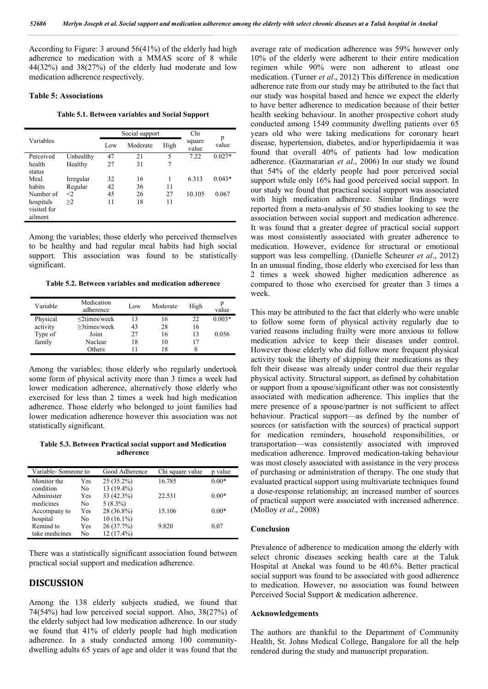According to Figure: 3 around 56(41%) of the elderly had high adherence to medication with a MMAS score of 8 while 44(32%) and 38(27%) of the elderly had moderate and low medication adherence respectively.

#### **Table 5: Associations**

**Table 5.1. Between variables and Social Support**

|           | Social support |          |      | Chi             |            |
|-----------|----------------|----------|------|-----------------|------------|
| Variables |                | Moderate | High | square<br>value | p<br>value |
| Unhealthy | 47             | 21       | 5    | 7.22            | $0.027*$   |
| Healthy   | 27             | 31       | 7    |                 |            |
|           |                |          |      |                 |            |
| Irregular | 32             | 16       |      | 6.313           | $0.043*$   |
| Regular   | 42             | 36       | 11   |                 |            |
| $<$ 2     | 45             | 26       | 27   | 10.105          | 0.067      |
| >2        | 11             | 18       | 11   |                 |            |
|           |                |          |      |                 |            |
|           |                |          |      |                 |            |
|           |                | Low      |      |                 |            |

Among the variables; those elderly who perceived themselves to be healthy and had regular meal habits had high social support. This association was found to be statistically significant.

**Table 5.2. Between variables and medication adherence**

| Variable | Medication<br>adherence | Low | Moderate | High | value    |
|----------|-------------------------|-----|----------|------|----------|
| Physical | $\leq$ 2times/week      | 13  | 16       | 22   | $0.003*$ |
| activity | $>3$ times/week         | 43  | 28       | 16   |          |
| Type of  | Joint                   | 27  | 16       | 13   | 0.056    |
| family   | Nuclear                 | 18  | 10       | 17   |          |
|          | Others                  |     | 18       | 8    |          |

Among the variables; those elderly who regularly undertook some form of physical activity more than 3 times a week had lower medication adherence, alternatively those elderly who exercised for less than 2 times a week had high medication adherence. Those elderly who belonged to joint families had lower medication adherence however this association was not statistically significant.

**Table 5.3. Between Practical social support and Medication adherence**

| Variable-Someone to |     | Good Adherence | Chi square value | value   |
|---------------------|-----|----------------|------------------|---------|
| Monitor the         | Yes | $25(35.2\%)$   | 16.785           | $0.00*$ |
| condition           | No  | $13(19.4\%)$   |                  |         |
| Administer          | Yes | 33 (42.3%)     | 22.531           | $0.00*$ |
| medicines           | No  | $5(8.3\%)$     |                  |         |
| Accompany to        | Yes | 28 (36.8%)     | 15.106           | $0.00*$ |
| hospital            | No  | $10(16.1\%)$   |                  |         |
| Remind to           | Yes | 26(37.7%)      | 9.820            | 0.07    |
| take medicines      | No  | $12(17.4\%)$   |                  |         |

There was a statistically significant association found between practical social support and medication adherence.

## **DISCUSSION**

Among the 138 elderly subjects studied, we found that 74(54%) had low perceived social support. Also, 38(27%) of the elderly subject had low medication adherence. In our study we found that 41% of elderly people had high medication adherence. In a study conducted among 100 communitydwelling adults 65 years of age and older it was found that the

average rate of medication adherence was 59% however only 10% of the elderly were adherent to their entire medication regimen while 90% were non adherent to atleast one medication. (Turner *et al*., 2012) This difference in medication adherence rate from our study may be attributed to the fact that our study was hospital based and hence we expect the elderly to have better adherence to medication because of their better health seeking behaviour. In another prospective cohort study conducted among 1549 community dwelling patients over 65 years old who were taking medications for coronary heart disease, hypertension, diabetes, and/or hyperlipidaemia it was found that overall 40% of patients had low medication adherence. (Gazmararian *et al*., 2006) In our study we found that 54% of the elderly people had poor perceived social support while only 16% had good perceived social support. In our study we found that practical social support was associated with high medication adherence. Similar findings were reported from a meta-analysis of 50 studies looking to see the association between social support and medication adherence. It was found that a greater degree of practical social support was most consistently associated with greater adherence to medication. However, evidence for structural or emotional support was less compelling. (Danielle Scheurer *et al*., 2012) In an unusual finding, those elderly who exercised for less than 2 times a week showed higher medication adherence as compared to those who exercised for greater than 3 times a week.

This may be attributed to the fact that elderly who were unable to follow some form of physical activity regularly due to varied reasons including frailty were more anxious to follow medication advice to keep their diseases under control. However those elderly who did follow more frequent physical activity took the liberty of skipping their medications as they felt their disease was already under control due their regular physical activity. Structural support, as defined by cohabitation or support from a spouse/significant other was not consistently associated with medication adherence. This implies that the mere presence of a spouse/partner is not sufficient to affect behaviour. Practical support—as defined by the number of sources (or satisfaction with the sources) of practical support for medication reminders, household responsibilities, or transportation—was consistently associated with improved medication adherence. Improved medication-taking behaviour was most closely associated with assistance in the very process of purchasing or administration of therapy. The one study that evaluated practical support using multivariate techniques found a dose-response relationship; an increased number of sources of practical support were associated with increased adherence. (Molloy *et al*., 2008)

#### **Conclusion**

Prevalence of adherence to medication among the elderly with select chronic diseases seeking health care at the Taluk Hospital at Anekal was found to be 40.6%. Better practical social support was found to be associated with good adherence to medication. However, no association was found between Perceived Social Support & medication adherence.

#### **Acknowledgements**

The authors are thankful to the Department of Community Health, St. Johns Medical College, Bangalore for all the help rendered during the study and manuscript preparation.